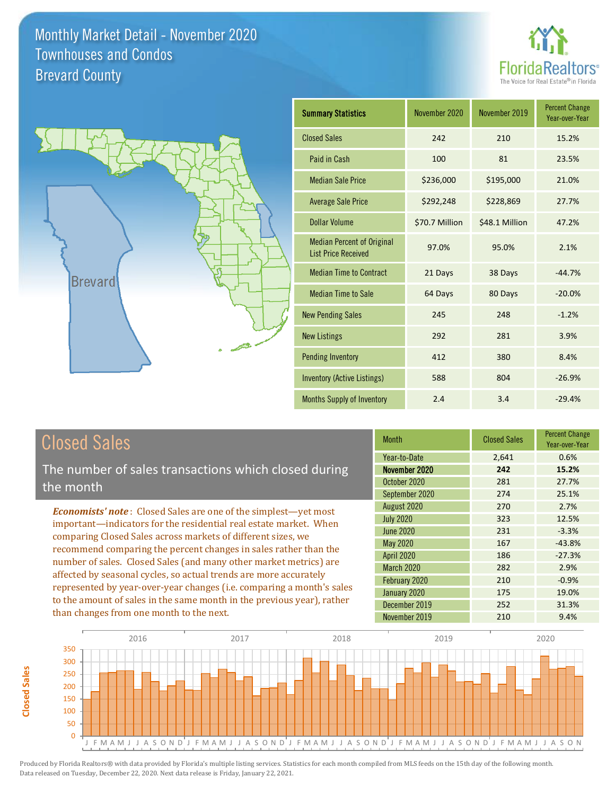



| <b>Summary Statistics</b>                                       | November 2020  | November 2019  | <b>Percent Change</b><br>Year-over-Year |
|-----------------------------------------------------------------|----------------|----------------|-----------------------------------------|
| <b>Closed Sales</b>                                             | 242            | 210            | 15.2%                                   |
| Paid in Cash                                                    | 100            | 81             | 23.5%                                   |
| <b>Median Sale Price</b>                                        | \$236,000      | \$195,000      | 21.0%                                   |
| <b>Average Sale Price</b>                                       | \$292,248      | \$228,869      | 27.7%                                   |
| Dollar Volume                                                   | \$70.7 Million | \$48.1 Million | 47.2%                                   |
| <b>Median Percent of Original</b><br><b>List Price Received</b> | 97.0%          | 95.0%          | 2.1%                                    |
| <b>Median Time to Contract</b>                                  | 21 Days        | 38 Days        | $-44.7%$                                |
| <b>Median Time to Sale</b>                                      | 64 Days        | 80 Days        | $-20.0%$                                |
| <b>New Pending Sales</b>                                        | 245            | 248            | $-1.2%$                                 |
| <b>New Listings</b>                                             | 292            | 281            | 3.9%                                    |
| <b>Pending Inventory</b>                                        | 412            | 380            | 8.4%                                    |
| <b>Inventory (Active Listings)</b>                              | 588            | 804            | $-26.9%$                                |
| Months Supply of Inventory                                      | 2.4            | 3.4            | $-29.4%$                                |

# Closed Sales

**Closed Sales**

**Closed Sales** 

The number of sales transactions which closed during the month

*Economists' note* : Closed Sales are one of the simplest—yet most important—indicators for the residential real estate market. When comparing Closed Sales across markets of different sizes, we recommend comparing the percent changes in sales rather than the number of sales. Closed Sales (and many other market metrics) are affected by seasonal cycles, so actual trends are more accurately represented by year-over-year changes (i.e. comparing a month's sales to the amount of sales in the same month in the previous year), rather than changes from one month to the next.

| Month            | <b>Closed Sales</b> | <b>Percent Change</b><br>Year-over-Year |
|------------------|---------------------|-----------------------------------------|
| Year-to-Date     | 2,641               | 0.6%                                    |
| November 2020    | 242                 | 15.2%                                   |
| October 2020     | 281                 | 27.7%                                   |
| September 2020   | 274                 | 25.1%                                   |
| August 2020      | 270                 | 2.7%                                    |
| <b>July 2020</b> | 323                 | 12.5%                                   |
| <b>June 2020</b> | 231                 | $-3.3%$                                 |
| May 2020         | 167                 | $-43.8%$                                |
| April 2020       | 186                 | $-27.3%$                                |
| March 2020       | 282                 | 2.9%                                    |
| February 2020    | 210                 | $-0.9%$                                 |
| January 2020     | 175                 | 19.0%                                   |
| December 2019    | 252                 | 31.3%                                   |
| November 2019    | 210                 | 9.4%                                    |

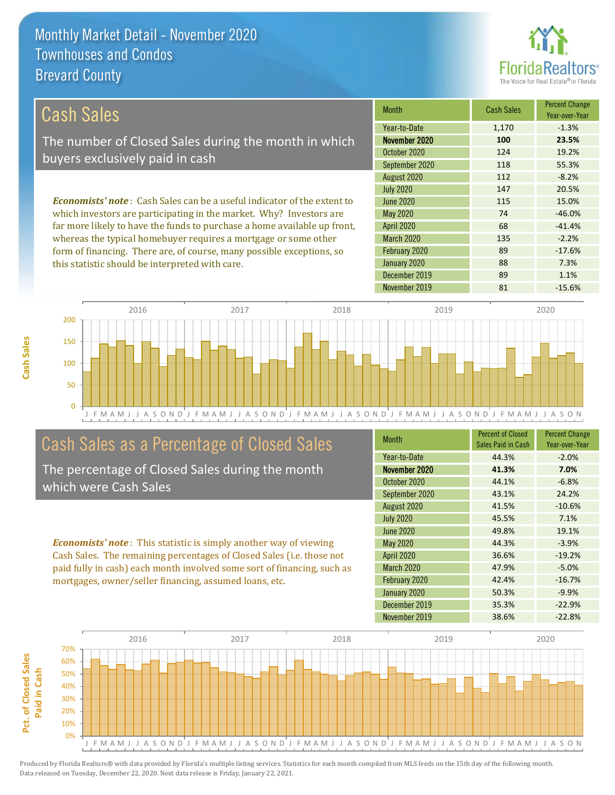this statistic should be interpreted with care.



88 7.3%

#### March 2020 135 -2.2% February 2020 *Economists' note* : Cash Sales can be a useful indicator of the extent to which investors are participating in the market. Why? Investors are far more likely to have the funds to purchase a home available up front, whereas the typical homebuyer requires a mortgage or some other form of financing. There are, of course, many possible exceptions, so 89 -17.6% 112 -8.2% July 2020 **147** 20.5% April 2020 68 -41.4% June 2020 115 15.0% May 2020 74 -46.0% August 2020 Month Cash Sales Percent Change Year-over-Year November 2020 **100 23.5%** October 2020 124 124 19.2% September 2020 118 118 55.3% Year-to-Date 1,170 -1.3% Cash Sales The number of Closed Sales during the month in which buyers exclusively paid in cash



# Cash Sales as a Percentage of Closed Sales

The percentage of Closed Sales during the month which were Cash Sales

*Economists' note* : This statistic is simply another way of viewing Cash Sales. The remaining percentages of Closed Sales (i.e. those not paid fully in cash) each month involved some sort of financing, such as mortgages, owner/seller financing, assumed loans, etc.

| <b>Month</b>      | <b>Percent of Closed</b><br>Sales Paid in Cash | <b>Percent Change</b><br>Year-over-Year |
|-------------------|------------------------------------------------|-----------------------------------------|
| Year-to-Date      | 44.3%                                          | $-2.0%$                                 |
| November 2020     | 41.3%                                          | 7.0%                                    |
| October 2020      | 44.1%                                          | $-6.8%$                                 |
| September 2020    | 43.1%                                          | 24.2%                                   |
| August 2020       | 41.5%                                          | $-10.6%$                                |
| <b>July 2020</b>  | 45.5%                                          | 7.1%                                    |
| <b>June 2020</b>  | 49.8%                                          | 19.1%                                   |
| May 2020          | 44.3%                                          | $-3.9%$                                 |
| <b>April 2020</b> | 36.6%                                          | $-19.2%$                                |
| <b>March 2020</b> | 47.9%                                          | $-5.0%$                                 |
| February 2020     | 42.4%                                          | $-16.7%$                                |
| January 2020      | 50.3%                                          | $-9.9%$                                 |
| December 2019     | 35.3%                                          | $-22.9%$                                |
| November 2019     | 38.6%                                          | $-22.8%$                                |

December 2019 89 1.1%

January 2020

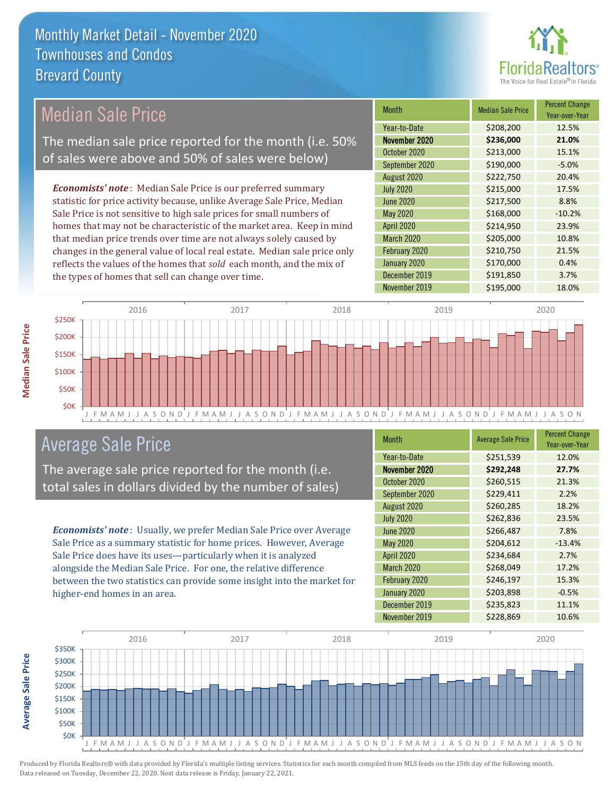

## Median Sale Price

The median sale price reported for the month (i.e. 50% of sales were above and 50% of sales were below)

*Economists' note* : Median Sale Price is our preferred summary statistic for price activity because, unlike Average Sale Price, Median Sale Price is not sensitive to high sale prices for small numbers of homes that may not be characteristic of the market area. Keep in mind that median price trends over time are not always solely caused by changes in the general value of local real estate. Median sale price only reflects the values of the homes that *sold* each month, and the mix of the types of homes that sell can change over time.

| Month             | <b>Median Sale Price</b> | <b>Percent Change</b><br>Year-over-Year |
|-------------------|--------------------------|-----------------------------------------|
| Year-to-Date      | \$208,200                | 12.5%                                   |
| November 2020     | \$236,000                | 21.0%                                   |
| October 2020      | \$213,000                | 15.1%                                   |
| September 2020    | \$190,000                | $-5.0%$                                 |
| August 2020       | \$222,750                | 20.4%                                   |
| <b>July 2020</b>  | \$215,000                | 17.5%                                   |
| <b>June 2020</b>  | \$217,500                | 8.8%                                    |
| <b>May 2020</b>   | \$168,000                | $-10.2%$                                |
| April 2020        | \$214,950                | 23.9%                                   |
| <b>March 2020</b> | \$205,000                | 10.8%                                   |
| February 2020     | \$210,750                | 21.5%                                   |
| January 2020      | \$170,000                | 0.4%                                    |
| December 2019     | \$191,850                | 3.7%                                    |
| November 2019     | \$195,000                | 18.0%                                   |



## Average Sale Price

The average sale price reported for the month (i.e. total sales in dollars divided by the number of sales)

*Economists' note* : Usually, we prefer Median Sale Price over Average Sale Price as a summary statistic for home prices. However, Average Sale Price does have its uses—particularly when it is analyzed alongside the Median Sale Price. For one, the relative difference between the two statistics can provide some insight into the market for higher-end homes in an area.

| <b>Month</b>     | <b>Average Sale Price</b> | <b>Percent Change</b><br>Year-over-Year |
|------------------|---------------------------|-----------------------------------------|
| Year-to-Date     | \$251,539                 | 12.0%                                   |
| November 2020    | \$292,248                 | 27.7%                                   |
| October 2020     | \$260,515                 | 21.3%                                   |
| September 2020   | \$229,411                 | 2.2%                                    |
| August 2020      | \$260,285                 | 18.2%                                   |
| <b>July 2020</b> | \$262,836                 | 23.5%                                   |
| June 2020        | \$266,487                 | 7.8%                                    |
| May 2020         | \$204,612                 | $-13.4%$                                |
| April 2020       | \$234,684                 | 2.7%                                    |
| March 2020       | \$268,049                 | 17.2%                                   |
| February 2020    | \$246,197                 | 15.3%                                   |
| January 2020     | \$203,898                 | $-0.5%$                                 |
| December 2019    | \$235,823                 | 11.1%                                   |
| November 2019    | \$228,869                 | 10.6%                                   |



**Average Sale Price**

**Average Sale Price**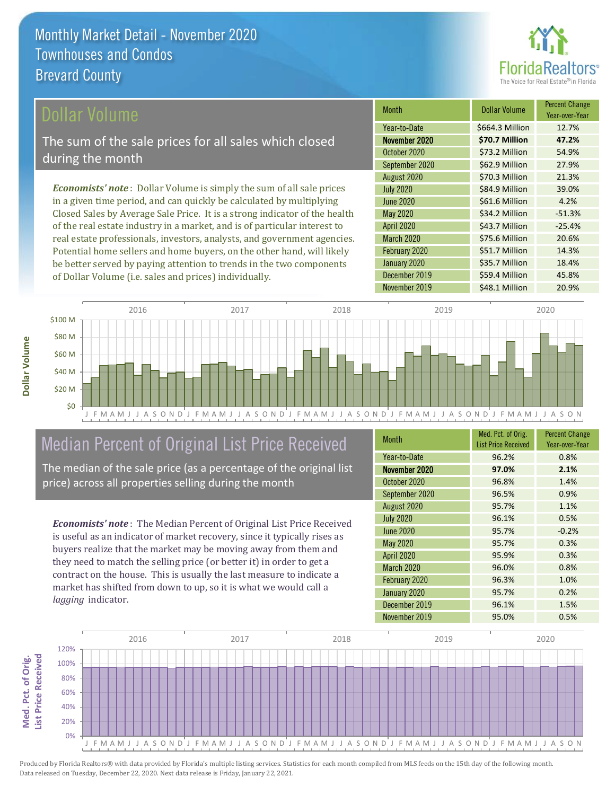

## ollar Volume

The sum of the sale prices for all sales which closed during the month

*Economists' note* : Dollar Volume is simply the sum of all sale prices in a given time period, and can quickly be calculated by multiplying Closed Sales by Average Sale Price. It is a strong indicator of the health of the real estate industry in a market, and is of particular interest to real estate professionals, investors, analysts, and government agencies. Potential home sellers and home buyers, on the other hand, will likely be better served by paying attention to trends in the two components of Dollar Volume (i.e. sales and prices) individually.

| <b>Month</b>      | Dollar Volume   | <b>Percent Change</b><br>Year-over-Year |
|-------------------|-----------------|-----------------------------------------|
| Year-to-Date      | \$664.3 Million | 12.7%                                   |
| November 2020     | \$70.7 Million  | 47.2%                                   |
| October 2020      | \$73.2 Million  | 54.9%                                   |
| September 2020    | \$62.9 Million  | 27.9%                                   |
| August 2020       | \$70.3 Million  | 21.3%                                   |
| <b>July 2020</b>  | \$84.9 Million  | 39.0%                                   |
| <b>June 2020</b>  | \$61.6 Million  | 4.2%                                    |
| May 2020          | \$34.2 Million  | $-51.3%$                                |
| April 2020        | \$43.7 Million  | $-25.4%$                                |
| <b>March 2020</b> | \$75.6 Million  | 20.6%                                   |
| February 2020     | \$51.7 Million  | 14.3%                                   |
| January 2020      | \$35.7 Million  | 18.4%                                   |
| December 2019     | \$59.4 Million  | 45.8%                                   |
| November 2019     | \$48.1 Million  | 20.9%                                   |



# Median Percent of Original List Price Received

The median of the sale price (as a percentage of the original list price) across all properties selling during the month

*Economists' note* : The Median Percent of Original List Price Received is useful as an indicator of market recovery, since it typically rises as buyers realize that the market may be moving away from them and they need to match the selling price (or better it) in order to get a contract on the house. This is usually the last measure to indicate a market has shifted from down to up, so it is what we would call a *lagging* indicator.

| <b>Month</b>      | Med. Pct. of Orig.<br><b>List Price Received</b> | <b>Percent Change</b><br>Year-over-Year |
|-------------------|--------------------------------------------------|-----------------------------------------|
| Year-to-Date      | 96.2%                                            | 0.8%                                    |
| November 2020     | 97.0%                                            | 2.1%                                    |
| October 2020      | 96.8%                                            | 1.4%                                    |
| September 2020    | 96.5%                                            | 0.9%                                    |
| August 2020       | 95.7%                                            | 1.1%                                    |
| <b>July 2020</b>  | 96.1%                                            | 0.5%                                    |
| <b>June 2020</b>  | 95.7%                                            | $-0.2%$                                 |
| <b>May 2020</b>   | 95.7%                                            | 0.3%                                    |
| <b>April 2020</b> | 95.9%                                            | 0.3%                                    |
| March 2020        | 96.0%                                            | 0.8%                                    |
| February 2020     | 96.3%                                            | 1.0%                                    |
| January 2020      | 95.7%                                            | 0.2%                                    |
| December 2019     | 96.1%                                            | 1.5%                                    |
| November 2019     | 95.0%                                            | 0.5%                                    |

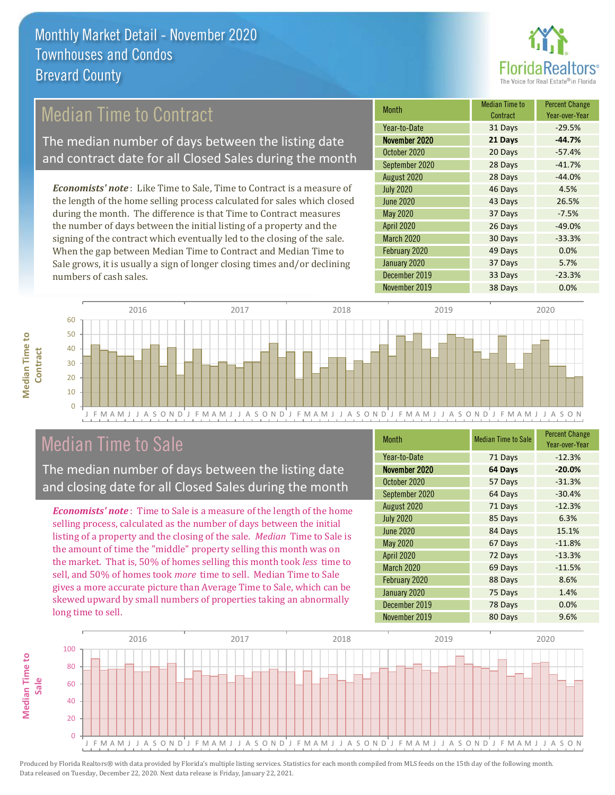

## Median Time to Contract

The median number of days between the listing date and contract date for all Closed Sales during the month

*Economists' note* : Like Time to Sale, Time to Contract is a measure of the length of the home selling process calculated for sales which closed during the month. The difference is that Time to Contract measures the number of days between the initial listing of a property and the signing of the contract which eventually led to the closing of the sale. When the gap between Median Time to Contract and Median Time to Sale grows, it is usually a sign of longer closing times and/or declining numbers of cash sales.

| Month             | <b>Median Time to</b><br>Contract | <b>Percent Change</b><br>Year-over-Year |
|-------------------|-----------------------------------|-----------------------------------------|
| Year-to-Date      | 31 Days                           | $-29.5%$                                |
| November 2020     | 21 Days                           | $-44.7%$                                |
| October 2020      | 20 Days                           | $-57.4%$                                |
| September 2020    | 28 Days                           | $-41.7%$                                |
| August 2020       | 28 Days                           | $-44.0%$                                |
| <b>July 2020</b>  | 46 Days                           | 4.5%                                    |
| <b>June 2020</b>  | 43 Days                           | 26.5%                                   |
| May 2020          | 37 Days                           | $-7.5%$                                 |
| April 2020        | 26 Days                           | $-49.0%$                                |
| <b>March 2020</b> | 30 Days                           | $-33.3%$                                |
| February 2020     | 49 Days                           | 0.0%                                    |
| January 2020      | 37 Days                           | 5.7%                                    |
| December 2019     | 33 Days                           | $-23.3%$                                |
| November 2019     | 38 Days                           | 0.0%                                    |



## Median Time to Sale

**Median Time to** 

**Median Time to** 

The median number of days between the listing date and closing date for all Closed Sales during the month

*Economists' note* : Time to Sale is a measure of the length of the home selling process, calculated as the number of days between the initial listing of a property and the closing of the sale. *Median* Time to Sale is the amount of time the "middle" property selling this month was on the market. That is, 50% of homes selling this month took *less* time to sell, and 50% of homes took *more* time to sell. Median Time to Sale gives a more accurate picture than Average Time to Sale, which can be skewed upward by small numbers of properties taking an abnormally long time to sell.

| <b>Month</b>      | <b>Median Time to Sale</b> | <b>Percent Change</b><br>Year-over-Year |
|-------------------|----------------------------|-----------------------------------------|
| Year-to-Date      | 71 Days                    | $-12.3%$                                |
| November 2020     | 64 Days                    | $-20.0%$                                |
| October 2020      | 57 Days                    | $-31.3%$                                |
| September 2020    | 64 Days                    | $-30.4%$                                |
| August 2020       | 71 Days                    | $-12.3%$                                |
| <b>July 2020</b>  | 85 Days                    | 6.3%                                    |
| <b>June 2020</b>  | 84 Days                    | 15.1%                                   |
| May 2020          | 67 Days                    | $-11.8%$                                |
| April 2020        | 72 Days                    | $-13.3%$                                |
| <b>March 2020</b> | 69 Days                    | $-11.5%$                                |
| February 2020     | 88 Days                    | 8.6%                                    |
| January 2020      | 75 Days                    | 1.4%                                    |
| December 2019     | 78 Days                    | 0.0%                                    |
| November 2019     | 80 Days                    | 9.6%                                    |

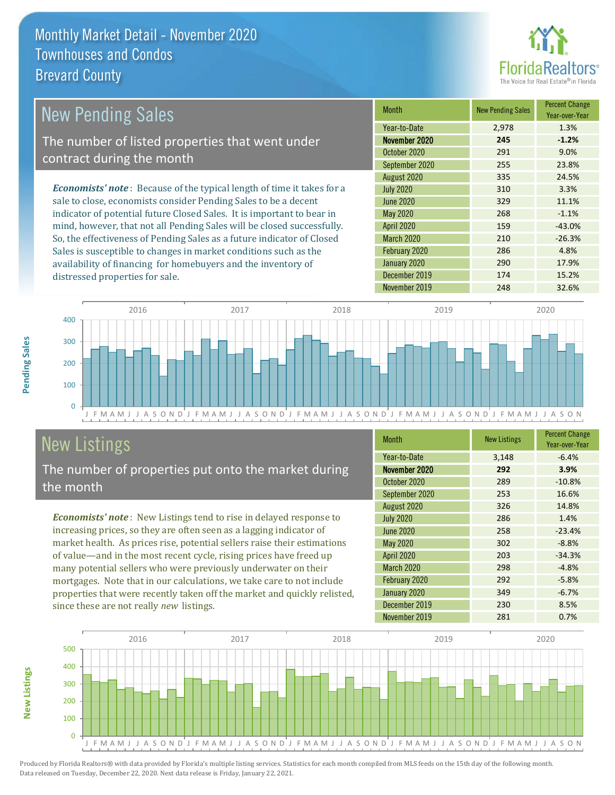

#### March 2020 210 210 -26.3% February 2020 **286 4.8%** May 2020 268 -1.1% August 2020 335 24.5% July 2020 310 3.3% 9.0% September 2020 255 23.8% June 2020 329 329 11.1% *Economists' note* : Because of the typical length of time it takes for a sale to close, economists consider Pending Sales to be a decent indicator of potential future Closed Sales. It is important to bear in mind, however, that not all Pending Sales will be closed successfully. So, the effectiveness of Pending Sales as a future indicator of Closed Sales is susceptible to changes in market conditions such as the Month New Pending Sales Percent Change Year-over-Year November 2020 **245 -1.2%** Year-to-Date 2,978 1.3% April 2020 **159** -43.0% October 2020 291 New Pending Sales The number of listed properties that went under contract during the month



# **New Listings**

distressed properties for sale.

The number of properties put onto the market during the month

availability of financing for homebuyers and the inventory of

*Economists' note* : New Listings tend to rise in delayed response to increasing prices, so they are often seen as a lagging indicator of market health. As prices rise, potential sellers raise their estimations of value—and in the most recent cycle, rising prices have freed up many potential sellers who were previously underwater on their mortgages. Note that in our calculations, we take care to not include properties that were recently taken off the market and quickly relisted, since these are not really *new* listings.

| <b>Month</b>      | <b>New Listings</b> | <b>Percent Change</b><br>Year-over-Year |
|-------------------|---------------------|-----------------------------------------|
| Year-to-Date      | 3,148               | $-6.4%$                                 |
| November 2020     | 292                 | 3.9%                                    |
| October 2020      | 289                 | $-10.8%$                                |
| September 2020    | 253                 | 16.6%                                   |
| August 2020       | 326                 | 14.8%                                   |
| <b>July 2020</b>  | 286                 | 1.4%                                    |
| <b>June 2020</b>  | 258                 | $-23.4%$                                |
| <b>May 2020</b>   | 302                 | $-8.8%$                                 |
| <b>April 2020</b> | 203                 | $-34.3%$                                |
| <b>March 2020</b> | 298                 | $-4.8%$                                 |
| February 2020     | 292                 | $-5.8%$                                 |
| January 2020      | 349                 | $-6.7%$                                 |
| December 2019     | 230                 | 8.5%                                    |
| November 2019     | 281                 | 0.7%                                    |

January 2020 290 17.9% December 2019 174 15.2%



Produced by Florida Realtors® with data provided by Florida's multiple listing services. Statistics for each month compiled from MLS feeds on the 15th day of the following month. Data released on Tuesday, December 22, 2020. Next data release is Friday, January 22, 2021.

**New Listings**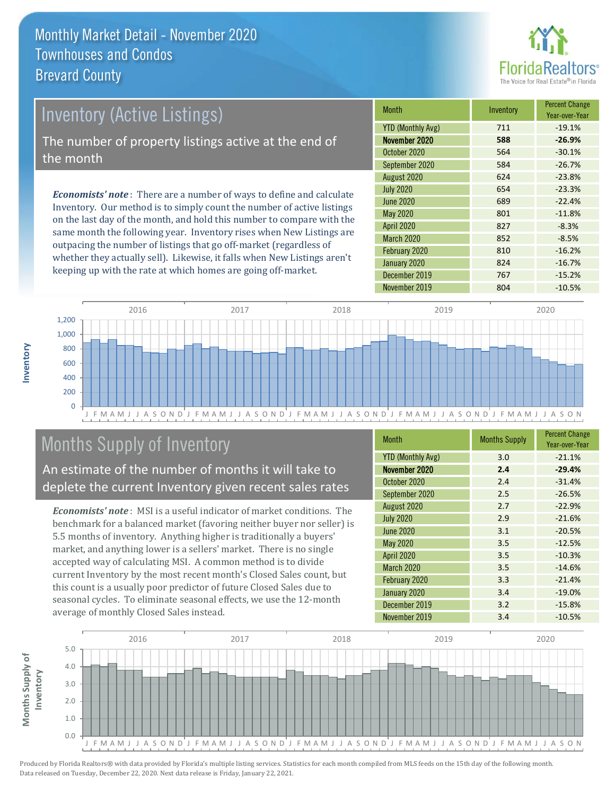

# *Economists' note* : There are a number of ways to define and calculate Inventory (Active Listings) The number of property listings active at the end of the month

Inventory. Our method is to simply count the number of active listings on the last day of the month, and hold this number to compare with the same month the following year. Inventory rises when New Listings are outpacing the number of listings that go off-market (regardless of whether they actually sell). Likewise, it falls when New Listings aren't keeping up with the rate at which homes are going off-market.

| <b>Month</b>             | Inventory | <b>Percent Change</b><br>Year-over-Year |
|--------------------------|-----------|-----------------------------------------|
| <b>YTD (Monthly Avg)</b> | 711       | $-19.1%$                                |
| November 2020            | 588       | $-26.9%$                                |
| October 2020             | 564       | $-30.1%$                                |
| September 2020           | 584       | $-26.7%$                                |
| August 2020              | 624       | $-23.8%$                                |
| <b>July 2020</b>         | 654       | $-23.3%$                                |
| June 2020                | 689       | $-22.4%$                                |
| May 2020                 | 801       | $-11.8%$                                |
| <b>April 2020</b>        | 827       | $-8.3%$                                 |
| <b>March 2020</b>        | 852       | $-8.5%$                                 |
| February 2020            | 810       | $-16.2%$                                |
| January 2020             | 824       | $-16.7%$                                |
| December 2019            | 767       | $-15.2%$                                |
| November 2019            | 804       | $-10.5%$                                |



# Months Supply of Inventory

### An estimate of the number of months it will take to deplete the current Inventory given recent sales rates

*Economists' note* : MSI is a useful indicator of market conditions. The benchmark for a balanced market (favoring neither buyer nor seller) is 5.5 months of inventory. Anything higher is traditionally a buyers' market, and anything lower is a sellers' market. There is no single accepted way of calculating MSI. A common method is to divide current Inventory by the most recent month's Closed Sales count, but this count is a usually poor predictor of future Closed Sales due to seasonal cycles. To eliminate seasonal effects, we use the 12-month average of monthly Closed Sales instead.

| <b>Month</b>             | <b>Months Supply</b> | <b>Percent Change</b><br>Year-over-Year |
|--------------------------|----------------------|-----------------------------------------|
| <b>YTD (Monthly Avg)</b> | 3.0                  | $-21.1%$                                |
| November 2020            | 2.4                  | $-29.4%$                                |
| October 2020             | 2.4                  | $-31.4%$                                |
| September 2020           | 2.5                  | $-26.5%$                                |
| August 2020              | 2.7                  | $-22.9%$                                |
| <b>July 2020</b>         | 2.9                  | $-21.6%$                                |
| <b>June 2020</b>         | 3.1                  | $-20.5%$                                |
| May 2020                 | 3.5                  | $-12.5%$                                |
| April 2020               | 3.5                  | $-10.3%$                                |
| <b>March 2020</b>        | 3.5                  | $-14.6%$                                |
| February 2020            | 3.3                  | $-21.4%$                                |
| January 2020             | 3.4                  | $-19.0%$                                |
| December 2019            | 3.2                  | $-15.8%$                                |
| November 2019            | 3.4                  | $-10.5%$                                |

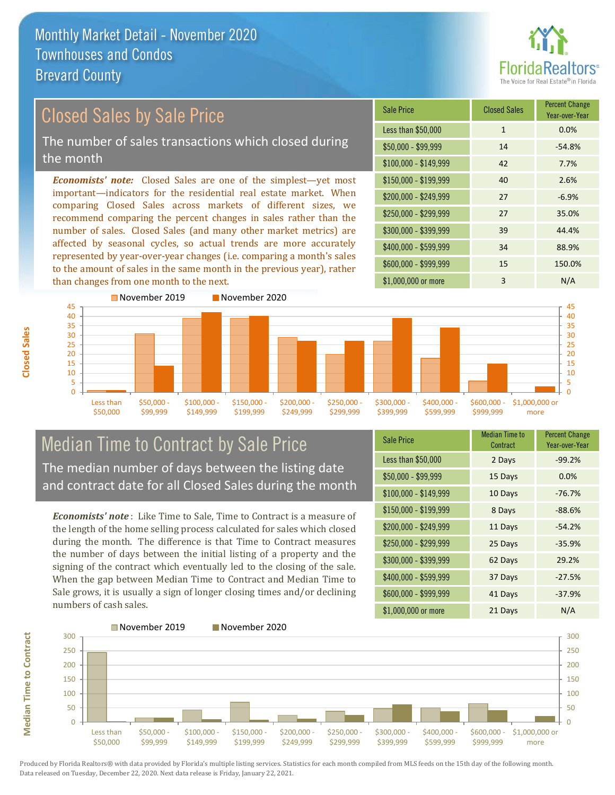

#### \$100,000 - \$149,999 42 7.7% Sale Price Closed Sales Percent Change Year-over-Year Less than \$50,000 1 1 0.0%  $$50,000 - $99,999$  14 -54.8% \$150,000 - \$199,999 40 2.6% \$200,000 - \$249,999 27 -6.9% \$400,000 - \$599,999 34 88.9% \$600,000 - \$999,999 15 150.0% *Economists' note:* Closed Sales are one of the simplest—yet most important—indicators for the residential real estate market. When comparing Closed Sales across markets of different sizes, we recommend comparing the percent changes in sales rather than the number of sales. Closed Sales (and many other market metrics) are affected by seasonal cycles, so actual trends are more accurately represented by year-over-year changes (i.e. comparing a month's sales to the amount of sales in the same month in the previous year), rather than changes from one month to the next. \$1,000,000 or more 3 N/A \$250,000 - \$299,999 27 35.0% \$300,000 - \$399,999 39 44.4% November 2019 November 2020 Closed Sales by Sale Price The number of sales transactions which closed during the month



## Median Time to Contract by Sale Price The median number of days between the listing date and contract date for all Closed Sales during the month

*Economists' note* : Like Time to Sale, Time to Contract is a measure of the length of the home selling process calculated for sales which closed during the month. The difference is that Time to Contract measures the number of days between the initial listing of a property and the signing of the contract which eventually led to the closing of the sale. When the gap between Median Time to Contract and Median Time to Sale grows, it is usually a sign of longer closing times and/or declining numbers of cash sales.

| <b>Sale Price</b>     | <b>Median Time to</b><br>Contract | <b>Percent Change</b><br>Year-over-Year |
|-----------------------|-----------------------------------|-----------------------------------------|
| Less than \$50,000    | 2 Days                            | $-99.2%$                                |
| $$50,000 - $99,999$   | 15 Days                           | 0.0%                                    |
| $$100,000 - $149,999$ | 10 Days                           | $-76.7%$                                |
| \$150,000 - \$199,999 | 8 Days                            | $-88.6%$                                |
| \$200,000 - \$249,999 | 11 Days                           | $-54.2%$                                |
| \$250,000 - \$299,999 | 25 Days                           | $-35.9%$                                |
| \$300,000 - \$399,999 | 62 Days                           | 29.2%                                   |
| \$400,000 - \$599,999 | 37 Days                           | $-27.5%$                                |
| \$600,000 - \$999,999 | 41 Days                           | $-37.9%$                                |
| \$1,000,000 or more   | 21 Days                           | N/A                                     |



Produced by Florida Realtors® with data provided by Florida's multiple listing services. Statistics for each month compiled from MLS feeds on the 15th day of the following month. Data released on Tuesday, December 22, 2020. Next data release is Friday, January 22, 2021.

**Median Time to Contract**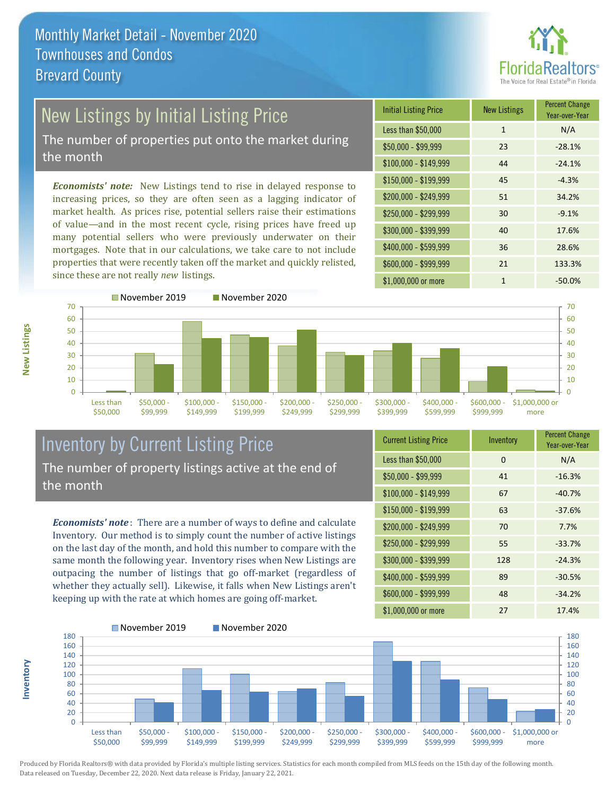

# New Listings by Initial Listing Price

The number of properties put onto the market during the month

*Economists' note:* New Listings tend to rise in delayed response to increasing prices, so they are often seen as a lagging indicator of market health. As prices rise, potential sellers raise their estimations of value—and in the most recent cycle, rising prices have freed up many potential sellers who were previously underwater on their mortgages. Note that in our calculations, we take care to not include properties that were recently taken off the market and quickly relisted, since these are not really *new* listings.

| <b>Initial Listing Price</b> | <b>New Listings</b> | <b>Percent Change</b><br>Year-over-Year |
|------------------------------|---------------------|-----------------------------------------|
| Less than \$50,000           | $\mathbf{1}$        | N/A                                     |
| $$50,000 - $99,999$          | 23                  | $-28.1%$                                |
| $$100,000 - $149,999$        | 44                  | $-24.1%$                                |
| $$150,000 - $199,999$        | 45                  | $-4.3%$                                 |
| \$200,000 - \$249,999        | 51                  | 34.2%                                   |
| \$250,000 - \$299,999        | 30                  | $-9.1%$                                 |
| \$300,000 - \$399,999        | 40                  | 17.6%                                   |
| \$400,000 - \$599,999        | 36                  | 28.6%                                   |
| \$600,000 - \$999,999        | 21                  | 133.3%                                  |
| \$1,000,000 or more          | 1                   | $-50.0\%$                               |



## Inventory by Current Listing Price The number of property listings active at the end of the month

*Economists' note* : There are a number of ways to define and calculate Inventory. Our method is to simply count the number of active listings on the last day of the month, and hold this number to compare with the same month the following year. Inventory rises when New Listings are outpacing the number of listings that go off-market (regardless of whether they actually sell). Likewise, it falls when New Listings aren't keeping up with the rate at which homes are going off-market.

| <b>Current Listing Price</b> | Inventory | <b>Percent Change</b><br>Year-over-Year |
|------------------------------|-----------|-----------------------------------------|
| Less than \$50,000           | 0         | N/A                                     |
| $$50,000 - $99,999$          | 41        | $-16.3%$                                |
| $$100,000 - $149,999$        | 67        | $-40.7%$                                |
| $$150,000 - $199,999$        | 63        | $-37.6%$                                |
| \$200,000 - \$249,999        | 70        | 7.7%                                    |
| \$250,000 - \$299,999        | 55        | $-33.7%$                                |
| \$300,000 - \$399,999        | 128       | $-24.3%$                                |
| $$400,000 - $599,999$        | 89        | $-30.5%$                                |
| \$600,000 - \$999,999        | 48        | $-34.2%$                                |
| \$1,000,000 or more          | 27        | 17.4%                                   |



Produced by Florida Realtors® with data provided by Florida's multiple listing services. Statistics for each month compiled from MLS feeds on the 15th day of the following month. Data released on Tuesday, December 22, 2020. Next data release is Friday, January 22, 2021.

**Inventory**